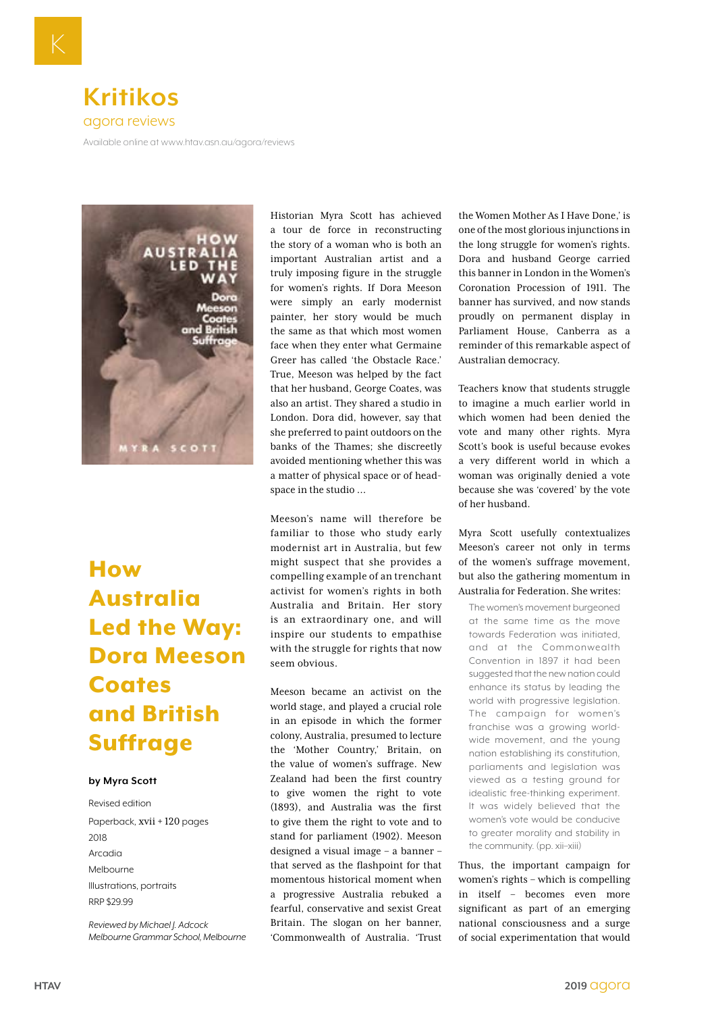

[Available online at www.htav.asn.au/agora/reviews](ttp://Available online at www.htav.asn.au/agora/reviews)



## How Australia Led the Way: Dora Meeson **Coates** and British Suffrage

## **by Myra Scott**

Revised edition Paperback, xvii + 120 pages 2018 Arcadia Melbourne Illustrations, portraits RRP \$29.99

*Reviewed by Michael J. Adcock Melbourne Grammar School, Melbourne* Historian Myra Scott has achieved a tour de force in reconstructing the story of a woman who is both an important Australian artist and a truly imposing figure in the struggle for women's rights. If Dora Meeson were simply an early modernist painter, her story would be much the same as that which most women face when they enter what Germaine Greer has called 'the Obstacle Race.' True, Meeson was helped by the fact that her husband, George Coates, was also an artist. They shared a studio in London. Dora did, however, say that she preferred to paint outdoors on the banks of the Thames; she discreetly avoided mentioning whether this was a matter of physical space or of headspace in the studio …

Meeson's name will therefore be familiar to those who study early modernist art in Australia, but few might suspect that she provides a compelling example of an trenchant activist for women's rights in both Australia and Britain. Her story is an extraordinary one, and will inspire our students to empathise with the struggle for rights that now seem obvious.

Meeson became an activist on the world stage, and played a crucial role in an episode in which the former colony, Australia, presumed to lecture the 'Mother Country,' Britain, on the value of women's suffrage. New Zealand had been the first country to give women the right to vote (1893), and Australia was the first to give them the right to vote and to stand for parliament (1902). Meeson designed a visual image – a banner – that served as the flashpoint for that momentous historical moment when a progressive Australia rebuked a fearful, conservative and sexist Great Britain. The slogan on her banner, 'Commonwealth of Australia. 'Trust the Women Mother As I Have Done,' is one of the most glorious injunctions in the long struggle for women's rights. Dora and husband George carried this banner in London in the Women's Coronation Procession of 1911. The banner has survived, and now stands proudly on permanent display in Parliament House, Canberra as a reminder of this remarkable aspect of Australian democracy.

Teachers know that students struggle to imagine a much earlier world in which women had been denied the vote and many other rights. Myra Scott's book is useful because evokes a very different world in which a woman was originally denied a vote because she was 'covered' by the vote of her husband.

Myra Scott usefully contextualizes Meeson's career not only in terms of the women's suffrage movement, but also the gathering momentum in Australia for Federation. She writes:

The women's movement burgeoned at the same time as the move towards Federation was initiated, and at the Commonwealth Convention in 1897 it had been suggested that the new nation could enhance its status by leading the world with progressive legislation. The campaign for women's franchise was a growing worldwide movement, and the young nation establishing its constitution, parliaments and legislation was viewed as a testing ground for idealistic free-thinking experiment. It was widely believed that the women's vote would be conducive to greater morality and stability in the community. (pp. xii–xiii)

Thus, the important campaign for women's rights – which is compelling in itself – becomes even more significant as part of an emerging national consciousness and a surge of social experimentation that would